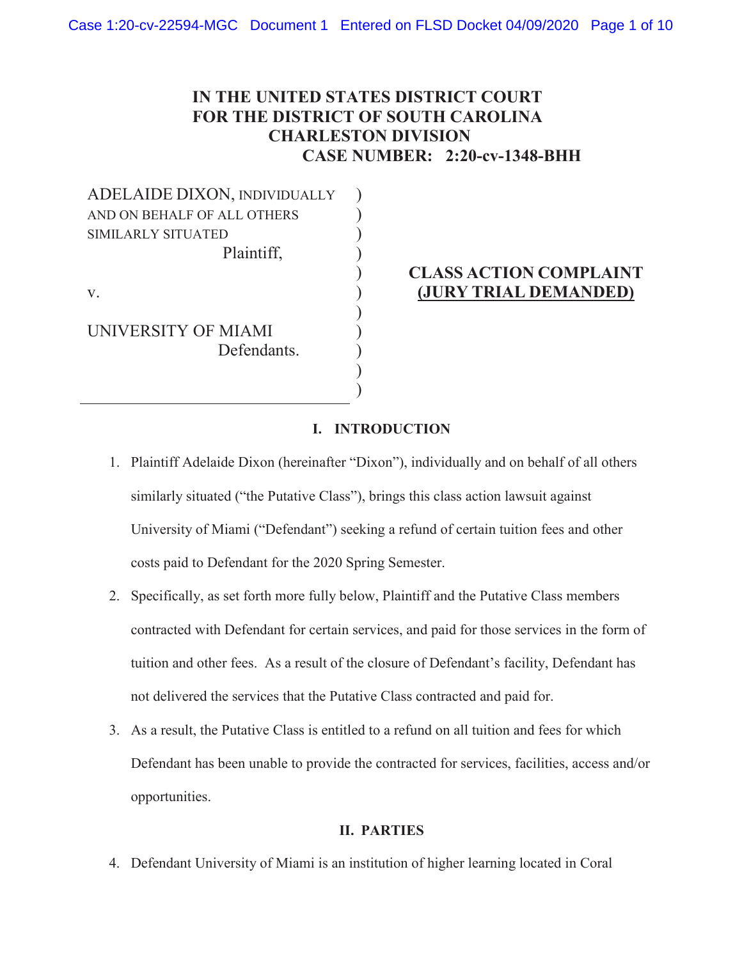# **IN THE UNITED STATES DISTRICT COURT FOR THE DISTRICT OF SOUTH CAROLINA CHARLESTON DIVISION CASE NUMBER: 2:20-cv-1348-BHH**

) ) ) ) ) ) ) ) ) ) )

ADELAIDE DIXON, INDIVIDUALLY AND ON BEHALF OF ALL OTHERS SIMILARLY SITUATED Plaintiff,

v.

UNIVERSITY OF MIAMI Defendants.

# **CLASS ACTION COMPLAINT (JURY TRIAL DEMANDED)**

## **I. INTRODUCTION**

- 1. Plaintiff Adelaide Dixon (hereinafter "Dixon"), individually and on behalf of all others similarly situated ("the Putative Class"), brings this class action lawsuit against University of Miami ("Defendant") seeking a refund of certain tuition fees and other costs paid to Defendant for the 2020 Spring Semester.
- 2. Specifically, as set forth more fully below, Plaintiff and the Putative Class members contracted with Defendant for certain services, and paid for those services in the form of tuition and other fees. As a result of the closure of Defendant's facility, Defendant has not delivered the services that the Putative Class contracted and paid for.
- 3. As a result, the Putative Class is entitled to a refund on all tuition and fees for which Defendant has been unable to provide the contracted for services, facilities, access and/or opportunities.

### **II. PARTIES**

4. Defendant University of Miami is an institution of higher learning located in Coral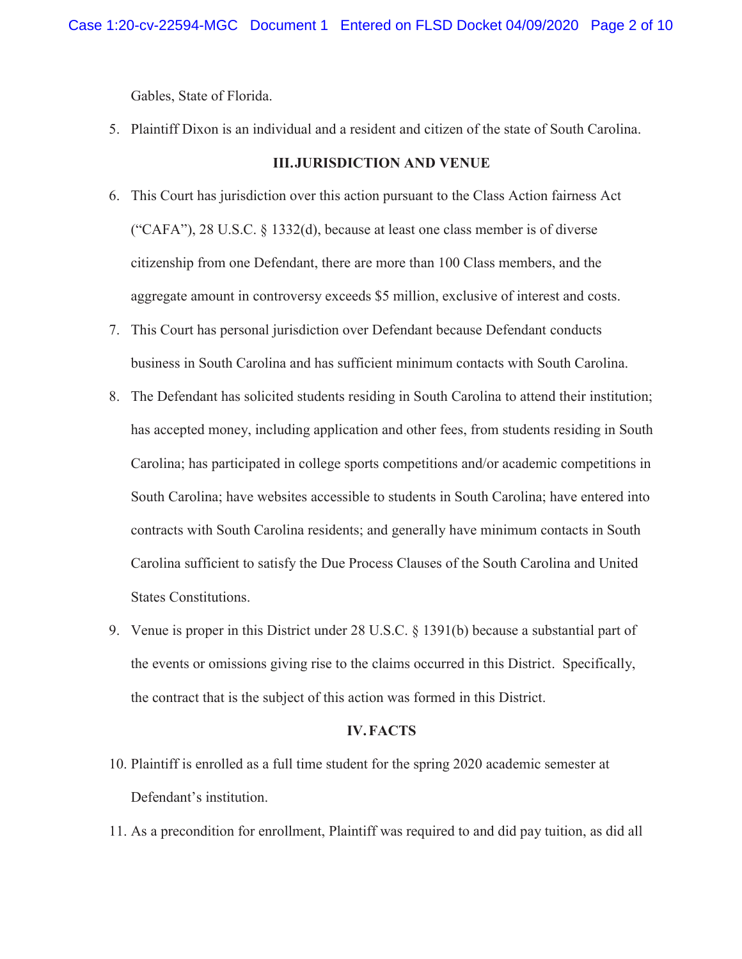Gables, State of Florida.

5. Plaintiff Dixon is an individual and a resident and citizen of the state of South Carolina.

#### **III.JURISDICTION AND VENUE**

- 6. This Court has jurisdiction over this action pursuant to the Class Action fairness Act ("CAFA"), 28 U.S.C. § 1332(d), because at least one class member is of diverse citizenship from one Defendant, there are more than 100 Class members, and the aggregate amount in controversy exceeds \$5 million, exclusive of interest and costs.
- 7. This Court has personal jurisdiction over Defendant because Defendant conducts business in South Carolina and has sufficient minimum contacts with South Carolina.
- 8. The Defendant has solicited students residing in South Carolina to attend their institution; has accepted money, including application and other fees, from students residing in South Carolina; has participated in college sports competitions and/or academic competitions in South Carolina; have websites accessible to students in South Carolina; have entered into contracts with South Carolina residents; and generally have minimum contacts in South Carolina sufficient to satisfy the Due Process Clauses of the South Carolina and United States Constitutions.
- 9. Venue is proper in this District under 28 U.S.C. § 1391(b) because a substantial part of the events or omissions giving rise to the claims occurred in this District. Specifically, the contract that is the subject of this action was formed in this District.

#### **IV.FACTS**

- 10. Plaintiff is enrolled as a full time student for the spring 2020 academic semester at Defendant's institution.
- 11. As a precondition for enrollment, Plaintiff was required to and did pay tuition, as did all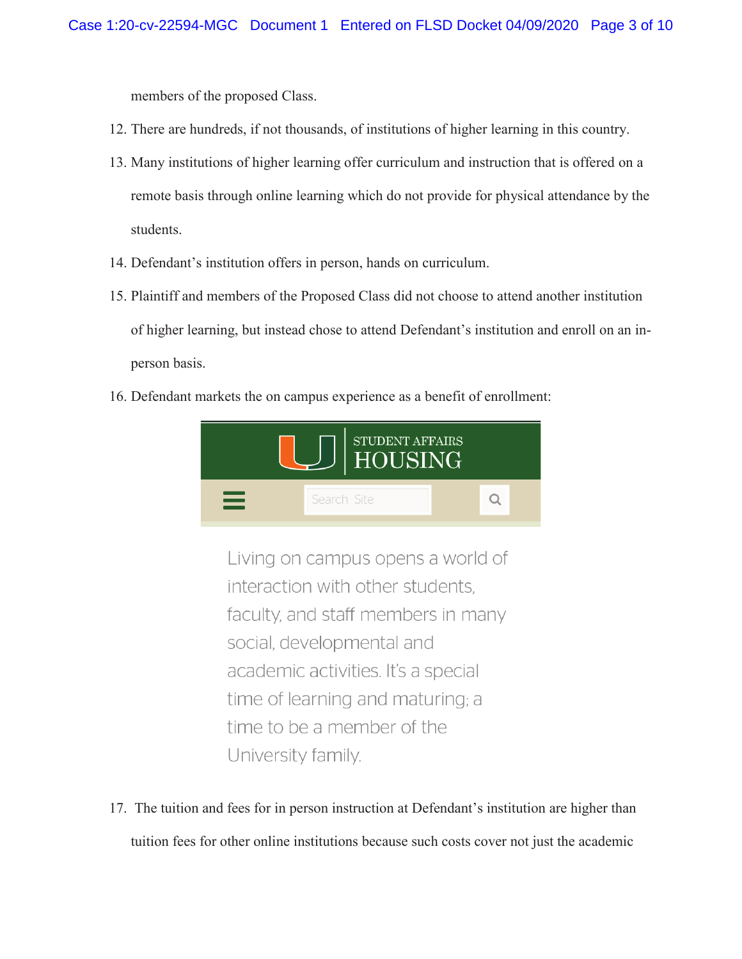members of the proposed Class.

- 12. There are hundreds, if not thousands, of institutions of higher learning in this country.
- 13. Many institutions of higher learning offer curriculum and instruction that is offered on a remote basis through online learning which do not provide for physical attendance by the students.
- 14. Defendant's institution offers in person, hands on curriculum.
- 15. Plaintiff and members of the Proposed Class did not choose to attend another institution of higher learning, but instead chose to attend Defendant's institution and enroll on an inperson basis.
- 16. Defendant markets the on campus experience as a benefit of enrollment:



Living on campus opens a world of interaction with other students. faculty, and staff members in many social, developmental and academic activities. It's a special time of learning and maturing; a time to be a member of the University family.

17. The tuition and fees for in person instruction at Defendant's institution are higher than tuition fees for other online institutions because such costs cover not just the academic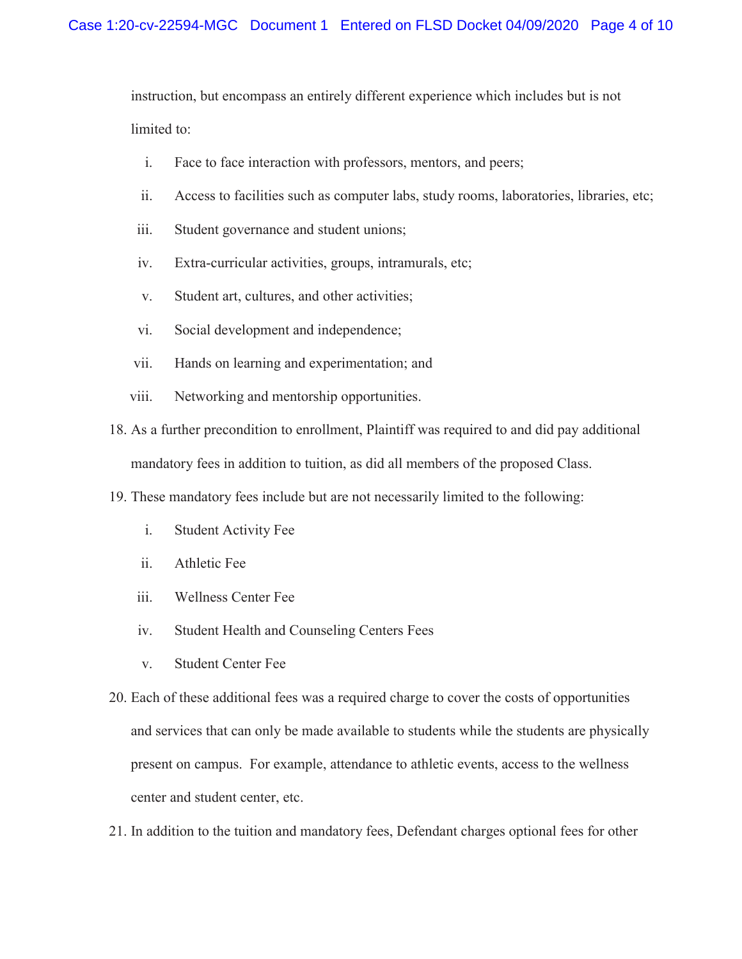instruction, but encompass an entirely different experience which includes but is not limited to:

- i. Face to face interaction with professors, mentors, and peers;
- ii. Access to facilities such as computer labs, study rooms, laboratories, libraries, etc;
- iii. Student governance and student unions;
- iv. Extra-curricular activities, groups, intramurals, etc;
- v. Student art, cultures, and other activities;
- vi. Social development and independence;
- vii. Hands on learning and experimentation; and
- viii. Networking and mentorship opportunities.
- 18. As a further precondition to enrollment, Plaintiff was required to and did pay additional mandatory fees in addition to tuition, as did all members of the proposed Class.
- 19. These mandatory fees include but are not necessarily limited to the following:
	- i. Student Activity Fee
	- ii. Athletic Fee
	- iii. Wellness Center Fee
	- iv. Student Health and Counseling Centers Fees
	- v. Student Center Fee
- 20. Each of these additional fees was a required charge to cover the costs of opportunities and services that can only be made available to students while the students are physically present on campus. For example, attendance to athletic events, access to the wellness center and student center, etc.
- 21. In addition to the tuition and mandatory fees, Defendant charges optional fees for other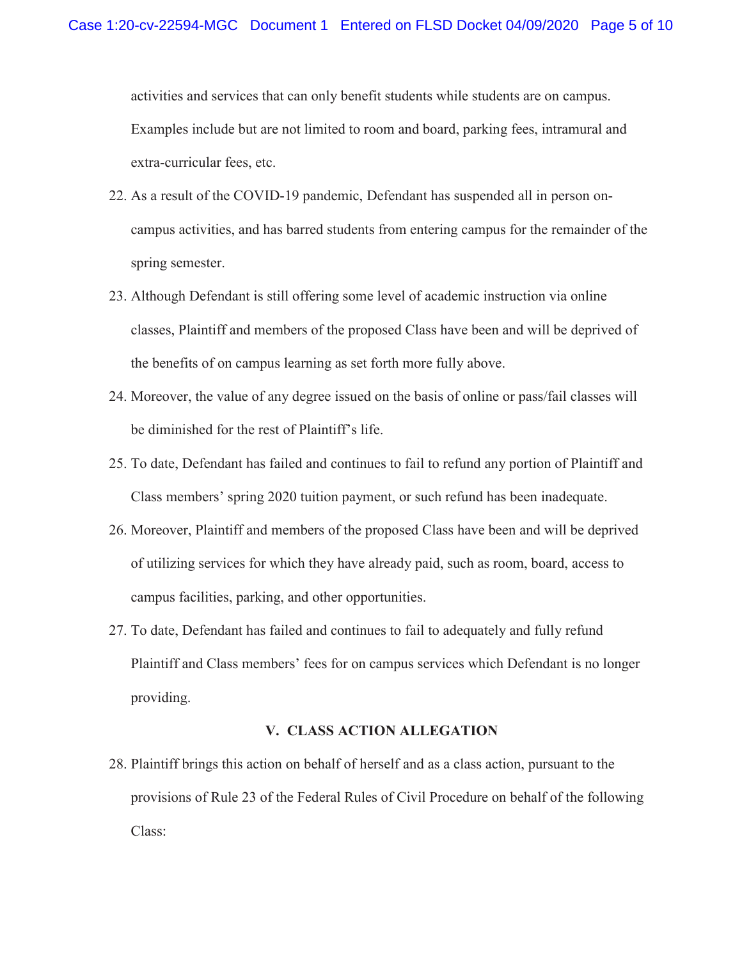activities and services that can only benefit students while students are on campus. Examples include but are not limited to room and board, parking fees, intramural and extra-curricular fees, etc.

- 22. As a result of the COVID-19 pandemic, Defendant has suspended all in person oncampus activities, and has barred students from entering campus for the remainder of the spring semester.
- 23. Although Defendant is still offering some level of academic instruction via online classes, Plaintiff and members of the proposed Class have been and will be deprived of the benefits of on campus learning as set forth more fully above.
- 24. Moreover, the value of any degree issued on the basis of online or pass/fail classes will be diminished for the rest of Plaintiff's life.
- 25. To date, Defendant has failed and continues to fail to refund any portion of Plaintiff and Class members' spring 2020 tuition payment, or such refund has been inadequate.
- 26. Moreover, Plaintiff and members of the proposed Class have been and will be deprived of utilizing services for which they have already paid, such as room, board, access to campus facilities, parking, and other opportunities.
- 27. To date, Defendant has failed and continues to fail to adequately and fully refund Plaintiff and Class members' fees for on campus services which Defendant is no longer providing.

#### **V. CLASS ACTION ALLEGATION**

28. Plaintiff brings this action on behalf of herself and as a class action, pursuant to the provisions of Rule 23 of the Federal Rules of Civil Procedure on behalf of the following Class: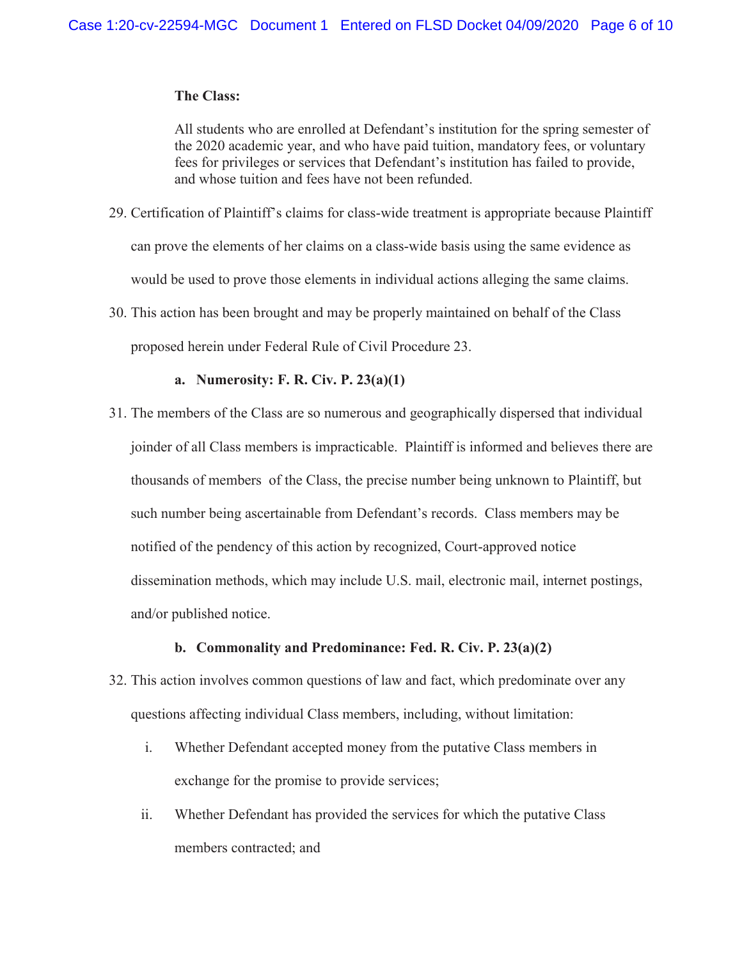#### **The Class:**

All students who are enrolled at Defendant's institution for the spring semester of the 2020 academic year, and who have paid tuition, mandatory fees, or voluntary fees for privileges or services that Defendant's institution has failed to provide, and whose tuition and fees have not been refunded.

- 29. Certification of Plaintiff's claims for class-wide treatment is appropriate because Plaintiff can prove the elements of her claims on a class-wide basis using the same evidence as would be used to prove those elements in individual actions alleging the same claims.
- 30. This action has been brought and may be properly maintained on behalf of the Class proposed herein under Federal Rule of Civil Procedure 23.

#### **a. Numerosity: F. R. Civ. P. 23(a)(1)**

31. The members of the Class are so numerous and geographically dispersed that individual joinder of all Class members is impracticable. Plaintiff is informed and believes there are thousands of members of the Class, the precise number being unknown to Plaintiff, but such number being ascertainable from Defendant's records. Class members may be notified of the pendency of this action by recognized, Court-approved notice dissemination methods, which may include U.S. mail, electronic mail, internet postings, and/or published notice.

#### **b. Commonality and Predominance: Fed. R. Civ. P. 23(a)(2)**

- 32. This action involves common questions of law and fact, which predominate over any questions affecting individual Class members, including, without limitation:
	- i. Whether Defendant accepted money from the putative Class members in exchange for the promise to provide services;
	- ii. Whether Defendant has provided the services for which the putative Class members contracted; and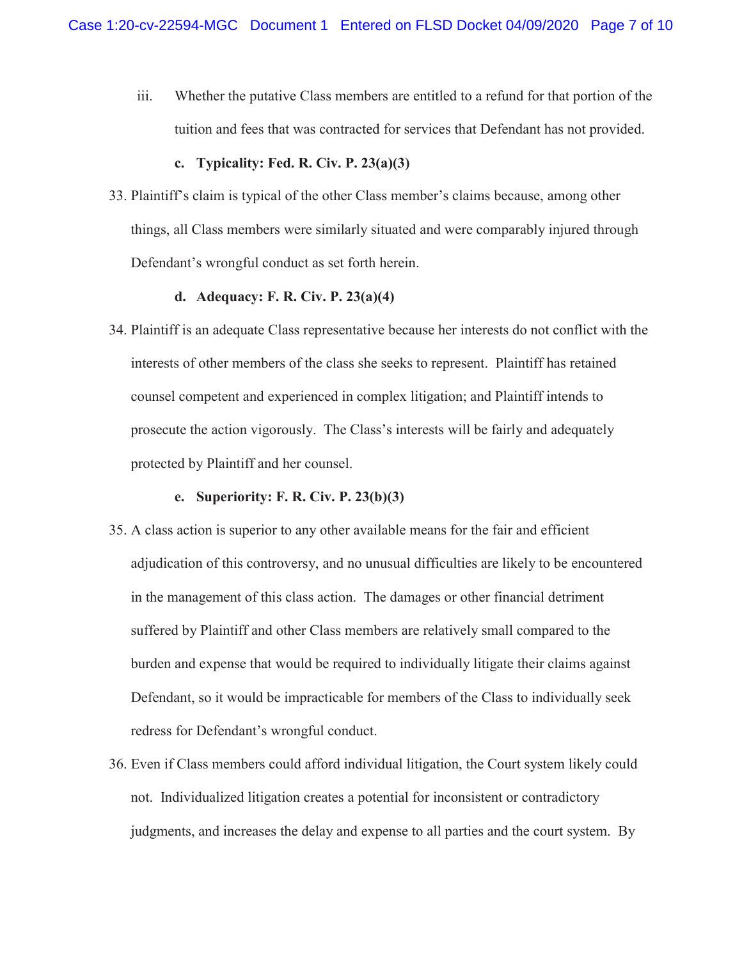iii. Whether the putative Class members are entitled to a refund for that portion of the tuition and fees that was contracted for services that Defendant has not provided.

#### **c. Typicality: Fed. R. Civ. P. 23(a)(3)**

33. Plaintiff's claim is typical of the other Class member's claims because, among other things, all Class members were similarly situated and were comparably injured through Defendant's wrongful conduct as set forth herein.

#### **d. Adequacy: F. R. Civ. P. 23(a)(4)**

34. Plaintiff is an adequate Class representative because her interests do not conflict with the interests of other members of the class she seeks to represent. Plaintiff has retained counsel competent and experienced in complex litigation; and Plaintiff intends to prosecute the action vigorously. The Class's interests will be fairly and adequately protected by Plaintiff and her counsel.

#### **e. Superiority: F. R. Civ. P. 23(b)(3)**

- 35. A class action is superior to any other available means for the fair and efficient adjudication of this controversy, and no unusual difficulties are likely to be encountered in the management of this class action. The damages or other financial detriment suffered by Plaintiff and other Class members are relatively small compared to the burden and expense that would be required to individually litigate their claims against Defendant, so it would be impracticable for members of the Class to individually seek redress for Defendant's wrongful conduct.
- 36. Even if Class members could afford individual litigation, the Court system likely could not. Individualized litigation creates a potential for inconsistent or contradictory judgments, and increases the delay and expense to all parties and the court system. By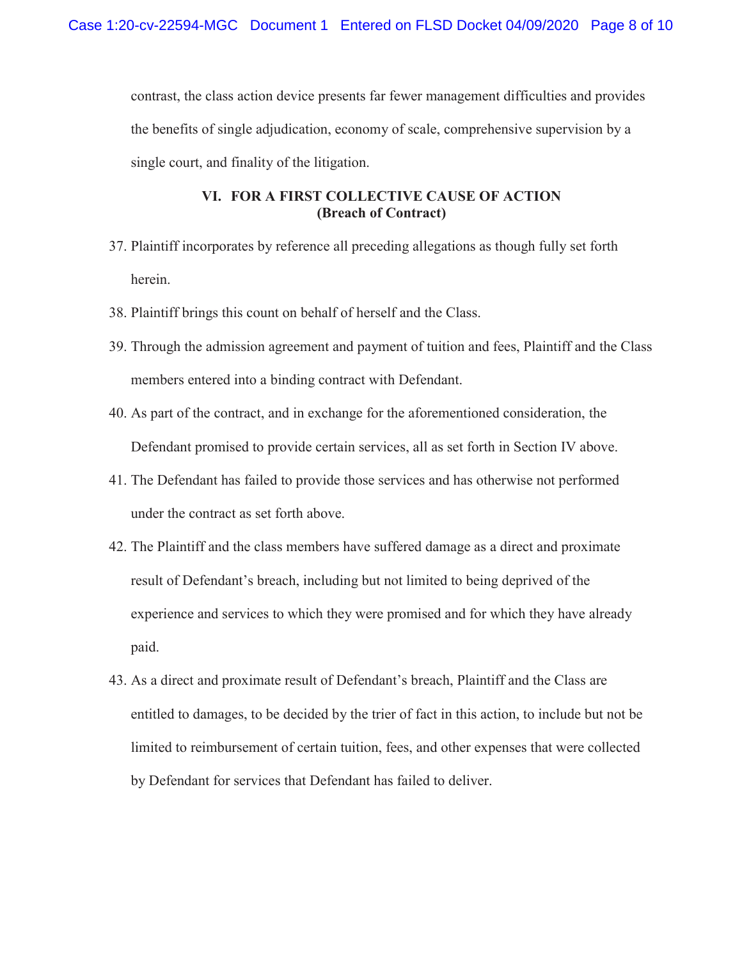contrast, the class action device presents far fewer management difficulties and provides the benefits of single adjudication, economy of scale, comprehensive supervision by a single court, and finality of the litigation.

## **VI. FOR A FIRST COLLECTIVE CAUSE OF ACTION (Breach of Contract)**

- 37. Plaintiff incorporates by reference all preceding allegations as though fully set forth herein.
- 38. Plaintiff brings this count on behalf of herself and the Class.
- 39. Through the admission agreement and payment of tuition and fees, Plaintiff and the Class members entered into a binding contract with Defendant.
- 40. As part of the contract, and in exchange for the aforementioned consideration, the Defendant promised to provide certain services, all as set forth in Section IV above.
- 41. The Defendant has failed to provide those services and has otherwise not performed under the contract as set forth above.
- 42. The Plaintiff and the class members have suffered damage as a direct and proximate result of Defendant's breach, including but not limited to being deprived of the experience and services to which they were promised and for which they have already paid.
- 43. As a direct and proximate result of Defendant's breach, Plaintiff and the Class are entitled to damages, to be decided by the trier of fact in this action, to include but not be limited to reimbursement of certain tuition, fees, and other expenses that were collected by Defendant for services that Defendant has failed to deliver.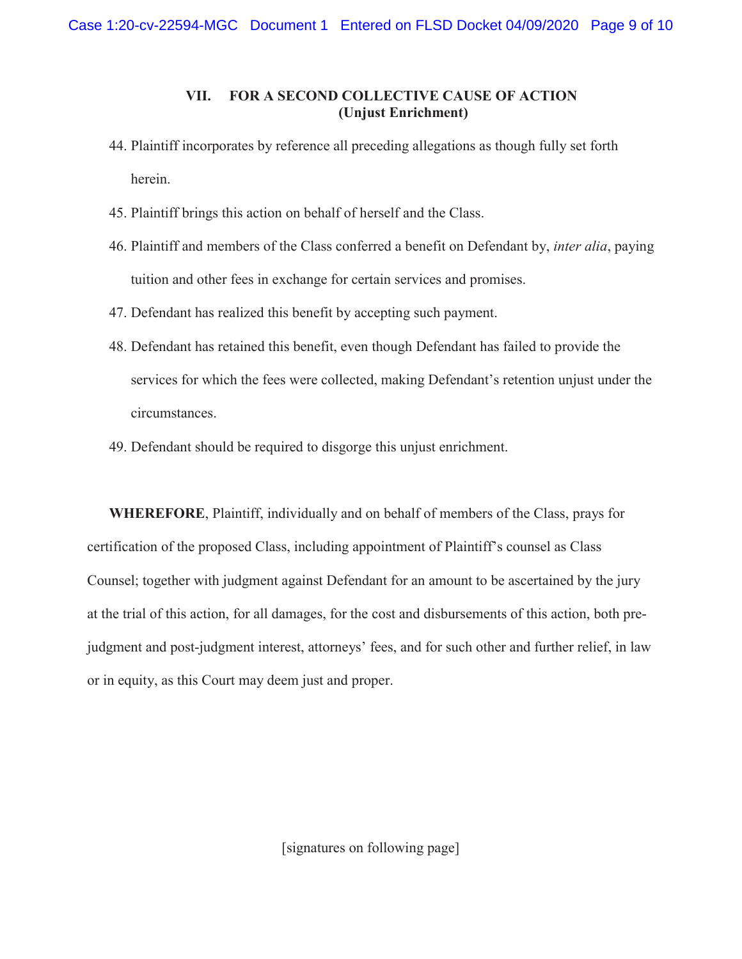### **VII. FOR A SECOND COLLECTIVE CAUSE OF ACTION (Unjust Enrichment)**

- 44. Plaintiff incorporates by reference all preceding allegations as though fully set forth herein.
- 45. Plaintiff brings this action on behalf of herself and the Class.
- 46. Plaintiff and members of the Class conferred a benefit on Defendant by, *inter alia*, paying tuition and other fees in exchange for certain services and promises.
- 47. Defendant has realized this benefit by accepting such payment.
- 48. Defendant has retained this benefit, even though Defendant has failed to provide the services for which the fees were collected, making Defendant's retention unjust under the circumstances.
- 49. Defendant should be required to disgorge this unjust enrichment.

**WHEREFORE**, Plaintiff, individually and on behalf of members of the Class, prays for certification of the proposed Class, including appointment of Plaintiff's counsel as Class Counsel; together with judgment against Defendant for an amount to be ascertained by the jury at the trial of this action, for all damages, for the cost and disbursements of this action, both prejudgment and post-judgment interest, attorneys' fees, and for such other and further relief, in law or in equity, as this Court may deem just and proper.

[signatures on following page]